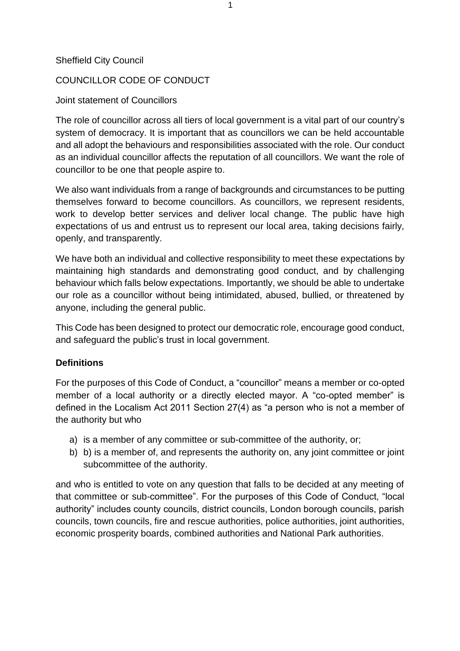#### Sheffield City Council

### COUNCILLOR CODE OF CONDUCT

#### Joint statement of Councillors

The role of councillor across all tiers of local government is a vital part of our country's system of democracy. It is important that as councillors we can be held accountable and all adopt the behaviours and responsibilities associated with the role. Our conduct as an individual councillor affects the reputation of all councillors. We want the role of councillor to be one that people aspire to.

We also want individuals from a range of backgrounds and circumstances to be putting themselves forward to become councillors. As councillors, we represent residents, work to develop better services and deliver local change. The public have high expectations of us and entrust us to represent our local area, taking decisions fairly, openly, and transparently.

We have both an individual and collective responsibility to meet these expectations by maintaining high standards and demonstrating good conduct, and by challenging behaviour which falls below expectations. Importantly, we should be able to undertake our role as a councillor without being intimidated, abused, bullied, or threatened by anyone, including the general public.

This Code has been designed to protect our democratic role, encourage good conduct, and safeguard the public's trust in local government.

### **Definitions**

For the purposes of this Code of Conduct, a "councillor" means a member or co-opted member of a local authority or a directly elected mayor. A "co-opted member" is defined in the Localism Act 2011 Section 27(4) as "a person who is not a member of the authority but who

- a) is a member of any committee or sub-committee of the authority, or;
- b) b) is a member of, and represents the authority on, any joint committee or joint subcommittee of the authority.

and who is entitled to vote on any question that falls to be decided at any meeting of that committee or sub-committee". For the purposes of this Code of Conduct, "local authority" includes county councils, district councils, London borough councils, parish councils, town councils, fire and rescue authorities, police authorities, joint authorities, economic prosperity boards, combined authorities and National Park authorities.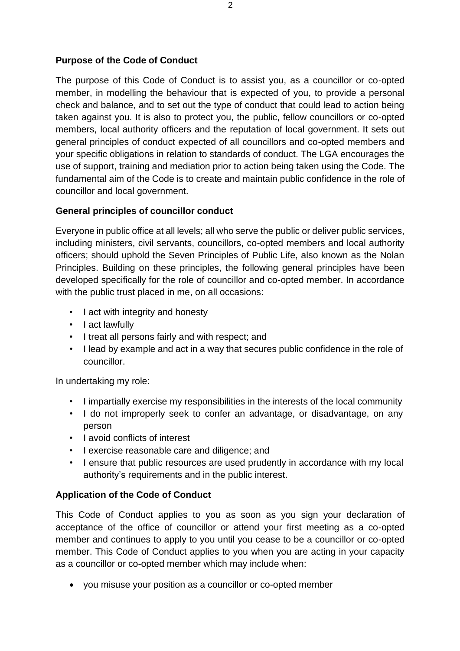### **Purpose of the Code of Conduct**

The purpose of this Code of Conduct is to assist you, as a councillor or co-opted member, in modelling the behaviour that is expected of you, to provide a personal check and balance, and to set out the type of conduct that could lead to action being taken against you. It is also to protect you, the public, fellow councillors or co-opted members, local authority officers and the reputation of local government. It sets out general principles of conduct expected of all councillors and co-opted members and your specific obligations in relation to standards of conduct. The LGA encourages the use of support, training and mediation prior to action being taken using the Code. The fundamental aim of the Code is to create and maintain public confidence in the role of councillor and local government.

## **General principles of councillor conduct**

Everyone in public office at all levels; all who serve the public or deliver public services, including ministers, civil servants, councillors, co-opted members and local authority officers; should uphold the Seven Principles of Public Life, also known as the Nolan Principles. Building on these principles, the following general principles have been developed specifically for the role of councillor and co-opted member. In accordance with the public trust placed in me, on all occasions:

- I act with integrity and honesty
- I act lawfully
- I treat all persons fairly and with respect; and
- I lead by example and act in a way that secures public confidence in the role of councillor.

In undertaking my role:

- I impartially exercise my responsibilities in the interests of the local community
- I do not improperly seek to confer an advantage, or disadvantage, on any person
- I avoid conflicts of interest
- I exercise reasonable care and diligence; and
- I ensure that public resources are used prudently in accordance with my local authority's requirements and in the public interest.

## **Application of the Code of Conduct**

This Code of Conduct applies to you as soon as you sign your declaration of acceptance of the office of councillor or attend your first meeting as a co-opted member and continues to apply to you until you cease to be a councillor or co-opted member. This Code of Conduct applies to you when you are acting in your capacity as a councillor or co-opted member which may include when:

• you misuse your position as a councillor or co-opted member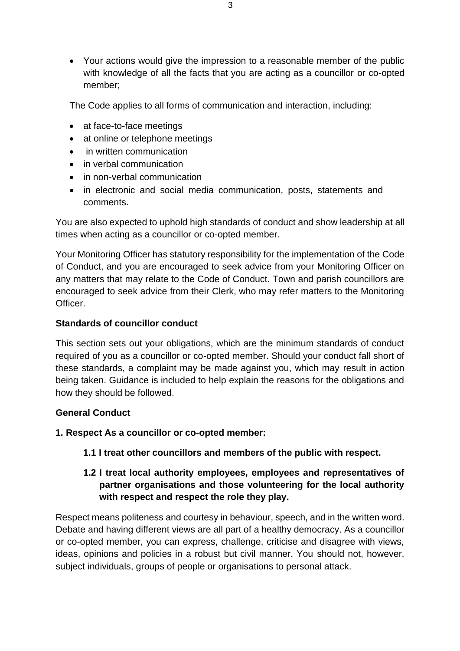• Your actions would give the impression to a reasonable member of the public with knowledge of all the facts that you are acting as a councillor or co-opted member;

The Code applies to all forms of communication and interaction, including:

- at face-to-face meetings
- at online or telephone meetings
- in written communication
- in verbal communication
- in non-verbal communication
- in electronic and social media communication, posts, statements and comments.

You are also expected to uphold high standards of conduct and show leadership at all times when acting as a councillor or co-opted member.

Your Monitoring Officer has statutory responsibility for the implementation of the Code of Conduct, and you are encouraged to seek advice from your Monitoring Officer on any matters that may relate to the Code of Conduct. Town and parish councillors are encouraged to seek advice from their Clerk, who may refer matters to the Monitoring Officer.

### **Standards of councillor conduct**

This section sets out your obligations, which are the minimum standards of conduct required of you as a councillor or co-opted member. Should your conduct fall short of these standards, a complaint may be made against you, which may result in action being taken. Guidance is included to help explain the reasons for the obligations and how they should be followed.

### **General Conduct**

- **1. Respect As a councillor or co-opted member:**
	- **1.1 I treat other councillors and members of the public with respect.**

## **1.2 I treat local authority employees, employees and representatives of partner organisations and those volunteering for the local authority with respect and respect the role they play.**

Respect means politeness and courtesy in behaviour, speech, and in the written word. Debate and having different views are all part of a healthy democracy. As a councillor or co-opted member, you can express, challenge, criticise and disagree with views, ideas, opinions and policies in a robust but civil manner. You should not, however, subject individuals, groups of people or organisations to personal attack.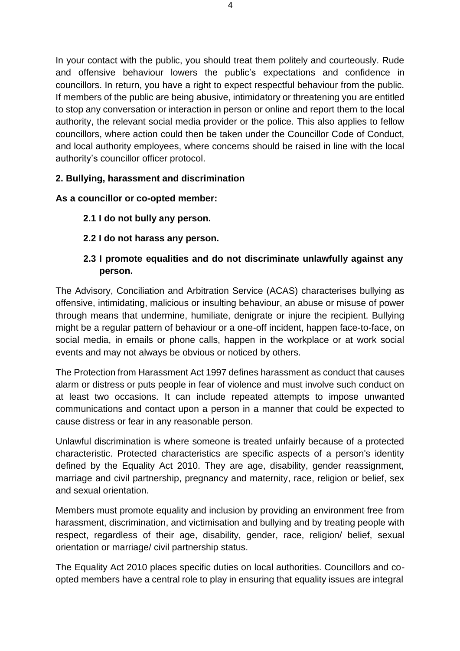In your contact with the public, you should treat them politely and courteously. Rude and offensive behaviour lowers the public's expectations and confidence in councillors. In return, you have a right to expect respectful behaviour from the public. If members of the public are being abusive, intimidatory or threatening you are entitled to stop any conversation or interaction in person or online and report them to the local authority, the relevant social media provider or the police. This also applies to fellow councillors, where action could then be taken under the Councillor Code of Conduct, and local authority employees, where concerns should be raised in line with the local authority's councillor officer protocol.

## **2. Bullying, harassment and discrimination**

### **As a councillor or co-opted member:**

- **2.1 I do not bully any person.**
- **2.2 I do not harass any person.**

## **2.3 I promote equalities and do not discriminate unlawfully against any person.**

The Advisory, Conciliation and Arbitration Service (ACAS) characterises bullying as offensive, intimidating, malicious or insulting behaviour, an abuse or misuse of power through means that undermine, humiliate, denigrate or injure the recipient. Bullying might be a regular pattern of behaviour or a one-off incident, happen face-to-face, on social media, in emails or phone calls, happen in the workplace or at work social events and may not always be obvious or noticed by others.

The Protection from Harassment Act 1997 defines harassment as conduct that causes alarm or distress or puts people in fear of violence and must involve such conduct on at least two occasions. It can include repeated attempts to impose unwanted communications and contact upon a person in a manner that could be expected to cause distress or fear in any reasonable person.

Unlawful discrimination is where someone is treated unfairly because of a protected characteristic. Protected characteristics are specific aspects of a person's identity defined by the Equality Act 2010. They are age, disability, gender reassignment, marriage and civil partnership, pregnancy and maternity, race, religion or belief, sex and sexual orientation.

Members must promote equality and inclusion by providing an environment free from harassment, discrimination, and victimisation and bullying and by treating people with respect, regardless of their age, disability, gender, race, religion/ belief, sexual orientation or marriage/ civil partnership status.

The Equality Act 2010 places specific duties on local authorities. Councillors and coopted members have a central role to play in ensuring that equality issues are integral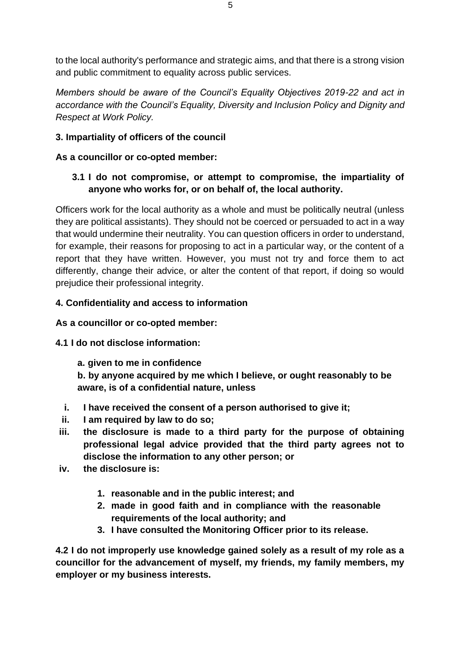to the local authority's performance and strategic aims, and that there is a strong vision and public commitment to equality across public services.

*Members should be aware of the Council's Equality Objectives 2019-22 and act in accordance with the Council's Equality, Diversity and Inclusion Policy and Dignity and Respect at Work Policy.*

## **3. Impartiality of officers of the council**

## **As a councillor or co-opted member:**

## **3.1 I do not compromise, or attempt to compromise, the impartiality of anyone who works for, or on behalf of, the local authority.**

Officers work for the local authority as a whole and must be politically neutral (unless they are political assistants). They should not be coerced or persuaded to act in a way that would undermine their neutrality. You can question officers in order to understand, for example, their reasons for proposing to act in a particular way, or the content of a report that they have written. However, you must not try and force them to act differently, change their advice, or alter the content of that report, if doing so would prejudice their professional integrity.

### **4. Confidentiality and access to information**

### **As a councillor or co-opted member:**

## **4.1 I do not disclose information:**

**a. given to me in confidence**

**b. by anyone acquired by me which I believe, or ought reasonably to be aware, is of a confidential nature, unless**

- **i. I have received the consent of a person authorised to give it;**
- **ii. I am required by law to do so;**
- **iii. the disclosure is made to a third party for the purpose of obtaining professional legal advice provided that the third party agrees not to disclose the information to any other person; or**
- **iv. the disclosure is:**
	- **1. reasonable and in the public interest; and**
	- **2. made in good faith and in compliance with the reasonable requirements of the local authority; and**
	- **3. I have consulted the Monitoring Officer prior to its release.**

**4.2 I do not improperly use knowledge gained solely as a result of my role as a councillor for the advancement of myself, my friends, my family members, my employer or my business interests.**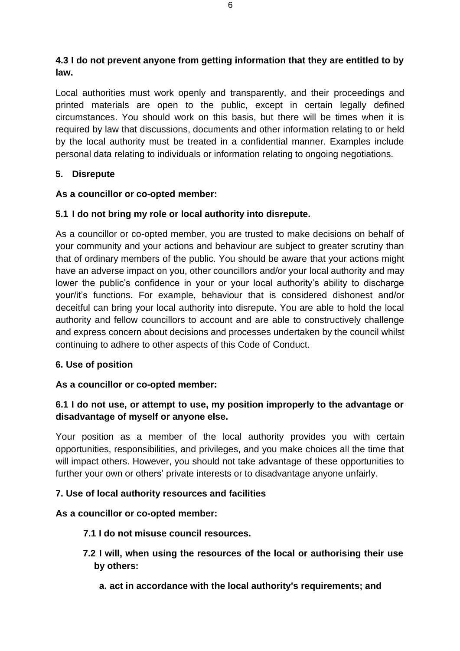## **4.3 I do not prevent anyone from getting information that they are entitled to by law.**

Local authorities must work openly and transparently, and their proceedings and printed materials are open to the public, except in certain legally defined circumstances. You should work on this basis, but there will be times when it is required by law that discussions, documents and other information relating to or held by the local authority must be treated in a confidential manner. Examples include personal data relating to individuals or information relating to ongoing negotiations.

## **5. Disrepute**

## **As a councillor or co-opted member:**

## **5.1 I do not bring my role or local authority into disrepute.**

As a councillor or co-opted member, you are trusted to make decisions on behalf of your community and your actions and behaviour are subject to greater scrutiny than that of ordinary members of the public. You should be aware that your actions might have an adverse impact on you, other councillors and/or your local authority and may lower the public's confidence in your or your local authority's ability to discharge your/it's functions. For example, behaviour that is considered dishonest and/or deceitful can bring your local authority into disrepute. You are able to hold the local authority and fellow councillors to account and are able to constructively challenge and express concern about decisions and processes undertaken by the council whilst continuing to adhere to other aspects of this Code of Conduct.

### **6. Use of position**

### **As a councillor or co-opted member:**

## **6.1 I do not use, or attempt to use, my position improperly to the advantage or disadvantage of myself or anyone else.**

Your position as a member of the local authority provides you with certain opportunities, responsibilities, and privileges, and you make choices all the time that will impact others. However, you should not take advantage of these opportunities to further your own or others' private interests or to disadvantage anyone unfairly.

### **7. Use of local authority resources and facilities**

### **As a councillor or co-opted member:**

### **7.1 I do not misuse council resources.**

- **7.2 I will, when using the resources of the local or authorising their use by others:**
	- **a. act in accordance with the local authority's requirements; and**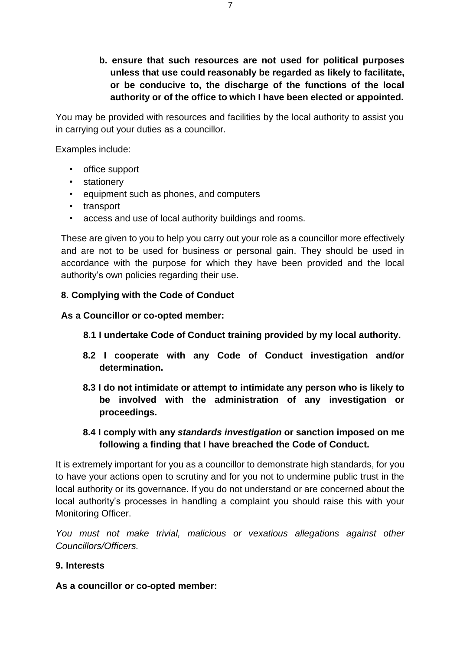**b. ensure that such resources are not used for political purposes unless that use could reasonably be regarded as likely to facilitate, or be conducive to, the discharge of the functions of the local authority or of the office to which I have been elected or appointed.**

You may be provided with resources and facilities by the local authority to assist you in carrying out your duties as a councillor.

Examples include:

- office support
- stationery
- equipment such as phones, and computers
- transport
- access and use of local authority buildings and rooms.

These are given to you to help you carry out your role as a councillor more effectively and are not to be used for business or personal gain. They should be used in accordance with the purpose for which they have been provided and the local authority's own policies regarding their use.

#### **8. Complying with the Code of Conduct**

**As a Councillor or co-opted member:**

- **8.1 I undertake Code of Conduct training provided by my local authority.**
- **8.2 I cooperate with any Code of Conduct investigation and/or determination.**
- **8.3 I do not intimidate or attempt to intimidate any person who is likely to be involved with the administration of any investigation or proceedings.**
- **8.4 I comply with any** *standards investigation* **or sanction imposed on me following a finding that I have breached the Code of Conduct.**

It is extremely important for you as a councillor to demonstrate high standards, for you to have your actions open to scrutiny and for you not to undermine public trust in the local authority or its governance. If you do not understand or are concerned about the local authority's processes in handling a complaint you should raise this with your Monitoring Officer.

*You must not make trivial, malicious or vexatious allegations against other Councillors/Officers.*

#### **9. Interests**

**As a councillor or co-opted member:**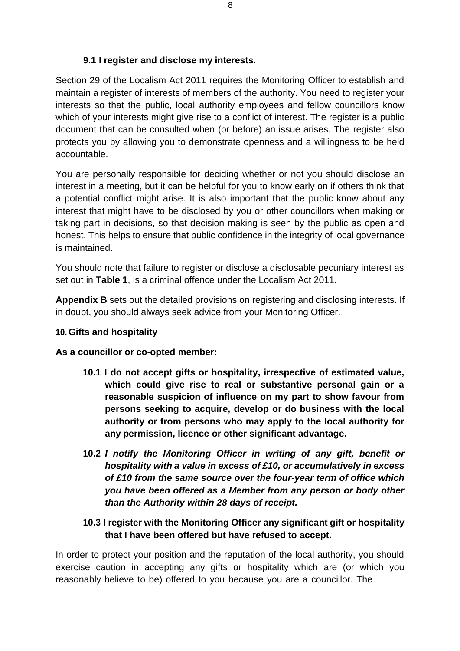### **9.1 I register and disclose my interests.**

Section 29 of the Localism Act 2011 requires the Monitoring Officer to establish and maintain a register of interests of members of the authority. You need to register your interests so that the public, local authority employees and fellow councillors know which of your interests might give rise to a conflict of interest. The register is a public document that can be consulted when (or before) an issue arises. The register also protects you by allowing you to demonstrate openness and a willingness to be held accountable.

You are personally responsible for deciding whether or not you should disclose an interest in a meeting, but it can be helpful for you to know early on if others think that a potential conflict might arise. It is also important that the public know about any interest that might have to be disclosed by you or other councillors when making or taking part in decisions, so that decision making is seen by the public as open and honest. This helps to ensure that public confidence in the integrity of local governance is maintained.

You should note that failure to register or disclose a disclosable pecuniary interest as set out in **Table 1**, is a criminal offence under the Localism Act 2011.

**Appendix B** sets out the detailed provisions on registering and disclosing interests. If in doubt, you should always seek advice from your Monitoring Officer.

#### **10. Gifts and hospitality**

#### **As a councillor or co-opted member:**

- **10.1 I do not accept gifts or hospitality, irrespective of estimated value, which could give rise to real or substantive personal gain or a reasonable suspicion of influence on my part to show favour from persons seeking to acquire, develop or do business with the local authority or from persons who may apply to the local authority for any permission, licence or other significant advantage.**
- **10.2** *I notify the Monitoring Officer in writing of any gift, benefit or hospitality with a value in excess of £10, or accumulatively in excess of £10 from the same source over the four-year term of office which you have been offered as a Member from any person or body other than the Authority within 28 days of receipt.*

## **10.3 I register with the Monitoring Officer any significant gift or hospitality that I have been offered but have refused to accept.**

In order to protect your position and the reputation of the local authority, you should exercise caution in accepting any gifts or hospitality which are (or which you reasonably believe to be) offered to you because you are a councillor. The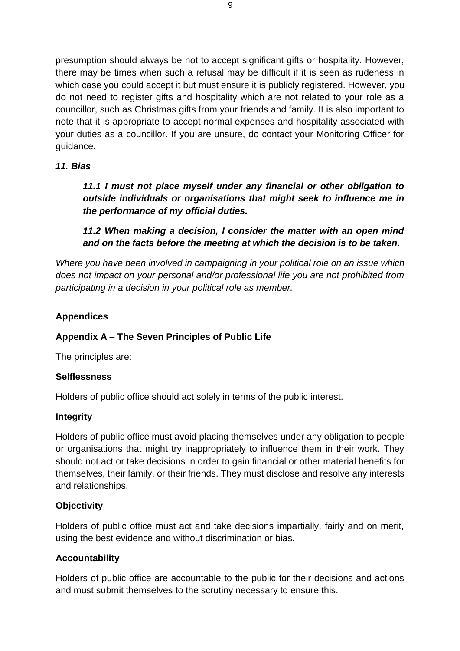presumption should always be not to accept significant gifts or hospitality. However, there may be times when such a refusal may be difficult if it is seen as rudeness in which case you could accept it but must ensure it is publicly registered. However, you do not need to register gifts and hospitality which are not related to your role as a councillor, such as Christmas gifts from your friends and family. It is also important to note that it is appropriate to accept normal expenses and hospitality associated with your duties as a councillor. If you are unsure, do contact your Monitoring Officer for guidance.

### *11. Bias*

*11.1 I must not place myself under any financial or other obligation to outside individuals or organisations that might seek to influence me in the performance of my official duties.*

## *11.2 When making a decision, I consider the matter with an open mind and on the facts before the meeting at which the decision is to be taken.*

*Where you have been involved in campaigning in your political role on an issue which does not impact on your personal and/or professional life you are not prohibited from participating in a decision in your political role as member.*

## **Appendices**

### **Appendix A – The Seven Principles of Public Life**

The principles are:

### **Selflessness**

Holders of public office should act solely in terms of the public interest.

### **Integrity**

Holders of public office must avoid placing themselves under any obligation to people or organisations that might try inappropriately to influence them in their work. They should not act or take decisions in order to gain financial or other material benefits for themselves, their family, or their friends. They must disclose and resolve any interests and relationships.

### **Objectivity**

Holders of public office must act and take decisions impartially, fairly and on merit, using the best evidence and without discrimination or bias.

#### **Accountability**

Holders of public office are accountable to the public for their decisions and actions and must submit themselves to the scrutiny necessary to ensure this.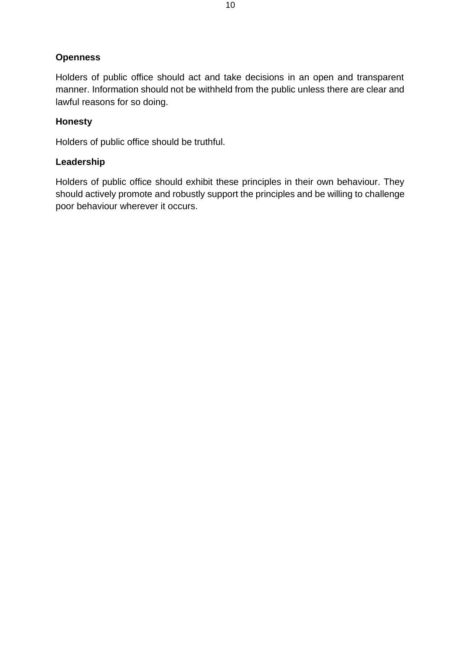## **Openness**

Holders of public office should act and take decisions in an open and transparent manner. Information should not be withheld from the public unless there are clear and lawful reasons for so doing.

### **Honesty**

Holders of public office should be truthful.

### **Leadership**

Holders of public office should exhibit these principles in their own behaviour. They should actively promote and robustly support the principles and be willing to challenge poor behaviour wherever it occurs.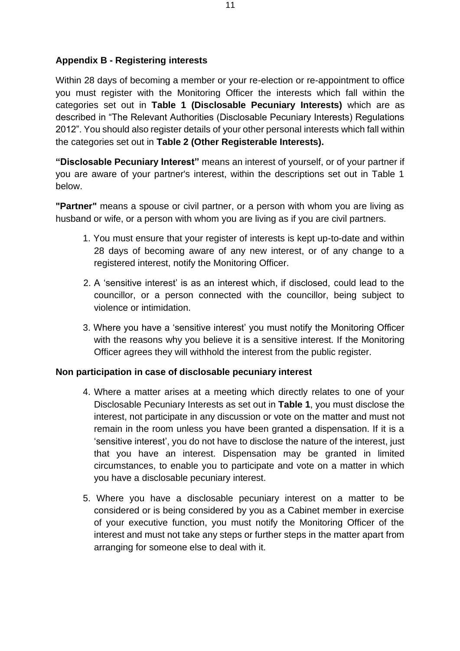### **Appendix B - Registering interests**

Within 28 days of becoming a member or your re-election or re-appointment to office you must register with the Monitoring Officer the interests which fall within the categories set out in **Table 1 (Disclosable Pecuniary Interests)** which are as described in "The Relevant Authorities (Disclosable Pecuniary Interests) Regulations 2012". You should also register details of your other personal interests which fall within the categories set out in **Table 2 (Other Registerable Interests).**

**"Disclosable Pecuniary Interest"** means an interest of yourself, or of your partner if you are aware of your partner's interest, within the descriptions set out in Table 1 below.

**"Partner"** means a spouse or civil partner, or a person with whom you are living as husband or wife, or a person with whom you are living as if you are civil partners.

- 1. You must ensure that your register of interests is kept up-to-date and within 28 days of becoming aware of any new interest, or of any change to a registered interest, notify the Monitoring Officer.
- 2. A 'sensitive interest' is as an interest which, if disclosed, could lead to the councillor, or a person connected with the councillor, being subject to violence or intimidation.
- 3. Where you have a 'sensitive interest' you must notify the Monitoring Officer with the reasons why you believe it is a sensitive interest. If the Monitoring Officer agrees they will withhold the interest from the public register.

### **Non participation in case of disclosable pecuniary interest**

- 4. Where a matter arises at a meeting which directly relates to one of your Disclosable Pecuniary Interests as set out in **Table 1**, you must disclose the interest, not participate in any discussion or vote on the matter and must not remain in the room unless you have been granted a dispensation. If it is a 'sensitive interest', you do not have to disclose the nature of the interest, just that you have an interest. Dispensation may be granted in limited circumstances, to enable you to participate and vote on a matter in which you have a disclosable pecuniary interest.
- 5. Where you have a disclosable pecuniary interest on a matter to be considered or is being considered by you as a Cabinet member in exercise of your executive function, you must notify the Monitoring Officer of the interest and must not take any steps or further steps in the matter apart from arranging for someone else to deal with it.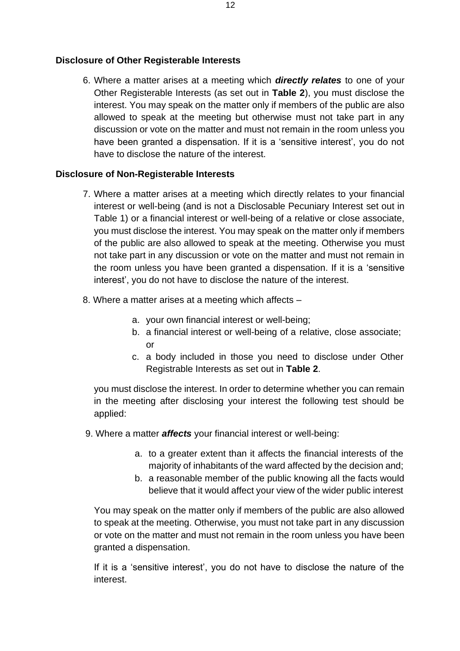#### **Disclosure of Other Registerable Interests**

6. Where a matter arises at a meeting which *directly relates* to one of your Other Registerable Interests (as set out in **Table 2**), you must disclose the interest. You may speak on the matter only if members of the public are also allowed to speak at the meeting but otherwise must not take part in any discussion or vote on the matter and must not remain in the room unless you have been granted a dispensation. If it is a 'sensitive interest', you do not have to disclose the nature of the interest.

#### **Disclosure of Non-Registerable Interests**

- 7. Where a matter arises at a meeting which directly relates to your financial interest or well-being (and is not a Disclosable Pecuniary Interest set out in Table 1) or a financial interest or well-being of a relative or close associate, you must disclose the interest. You may speak on the matter only if members of the public are also allowed to speak at the meeting. Otherwise you must not take part in any discussion or vote on the matter and must not remain in the room unless you have been granted a dispensation. If it is a 'sensitive interest', you do not have to disclose the nature of the interest.
- 8. Where a matter arises at a meeting which affects
	- a. your own financial interest or well-being;
	- b. a financial interest or well-being of a relative, close associate; or
	- c. a body included in those you need to disclose under Other Registrable Interests as set out in **Table 2**.

you must disclose the interest. In order to determine whether you can remain in the meeting after disclosing your interest the following test should be applied:

- 9. Where a matter *affects* your financial interest or well-being:
	- a. to a greater extent than it affects the financial interests of the majority of inhabitants of the ward affected by the decision and;
	- b. a reasonable member of the public knowing all the facts would believe that it would affect your view of the wider public interest

You may speak on the matter only if members of the public are also allowed to speak at the meeting. Otherwise, you must not take part in any discussion or vote on the matter and must not remain in the room unless you have been granted a dispensation.

If it is a 'sensitive interest', you do not have to disclose the nature of the interest.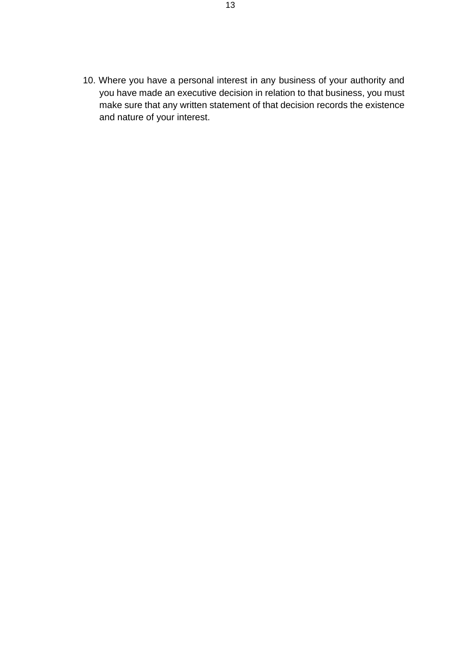10. Where you have a personal interest in any business of your authority and you have made an executive decision in relation to that business, you must make sure that any written statement of that decision records the existence and nature of your interest.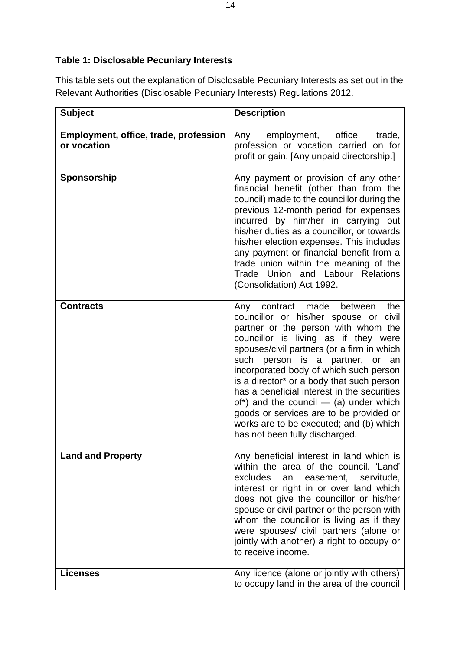# **Table 1: Disclosable Pecuniary Interests**

This table sets out the explanation of Disclosable Pecuniary Interests as set out in the Relevant Authorities (Disclosable Pecuniary Interests) Regulations 2012.

| <b>Subject</b>                                       | <b>Description</b>                                                                                                                                                                                                                                                                                                                                                                                                                                                                                                                                              |
|------------------------------------------------------|-----------------------------------------------------------------------------------------------------------------------------------------------------------------------------------------------------------------------------------------------------------------------------------------------------------------------------------------------------------------------------------------------------------------------------------------------------------------------------------------------------------------------------------------------------------------|
| Employment, office, trade, profession<br>or vocation | office,<br>employment,<br>Any<br>trade,<br>profession or vocation carried on for<br>profit or gain. [Any unpaid directorship.]                                                                                                                                                                                                                                                                                                                                                                                                                                  |
| Sponsorship                                          | Any payment or provision of any other<br>financial benefit (other than from the<br>council) made to the councillor during the<br>previous 12-month period for expenses<br>incurred by him/her in carrying out<br>his/her duties as a councillor, or towards<br>his/her election expenses. This includes<br>any payment or financial benefit from a<br>trade union within the meaning of the<br>Trade Union and Labour Relations<br>(Consolidation) Act 1992.                                                                                                    |
| <b>Contracts</b>                                     | made<br>the<br>contract<br>between<br>Any<br>councillor or his/her spouse or<br>civil<br>partner or the person with whom the<br>councillor is living as if they were<br>spouses/civil partners (or a firm in which<br>such person is a partner, or an<br>incorporated body of which such person<br>is a director* or a body that such person<br>has a beneficial interest in the securities<br>of*) and the council $-$ (a) under which<br>goods or services are to be provided or<br>works are to be executed; and (b) which<br>has not been fully discharged. |
| <b>Land and Property</b>                             | Any beneficial interest in land which is<br>within the area of the council. 'Land'<br>excludes<br>servitude,<br>easement,<br>an<br>interest or right in or over land which<br>does not give the councillor or his/her<br>spouse or civil partner or the person with<br>whom the councillor is living as if they<br>were spouses/ civil partners (alone or<br>jointly with another) a right to occupy or<br>to receive income.                                                                                                                                   |
| <b>Licenses</b>                                      | Any licence (alone or jointly with others)<br>to occupy land in the area of the council                                                                                                                                                                                                                                                                                                                                                                                                                                                                         |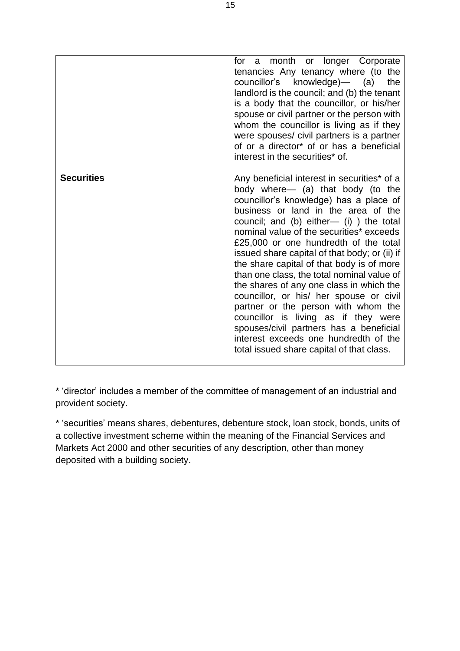|                   | month or longer Corporate<br>for<br>a -<br>tenancies Any tenancy where (to the<br>councillor's knowledge)— (a)<br>the<br>landlord is the council; and (b) the tenant<br>is a body that the councillor, or his/her<br>spouse or civil partner or the person with<br>whom the councillor is living as if they<br>were spouses/ civil partners is a partner<br>of or a director <sup>*</sup> of or has a beneficial<br>interest in the securities* of.                                                                                                                                                                                                                                                                                                   |
|-------------------|-------------------------------------------------------------------------------------------------------------------------------------------------------------------------------------------------------------------------------------------------------------------------------------------------------------------------------------------------------------------------------------------------------------------------------------------------------------------------------------------------------------------------------------------------------------------------------------------------------------------------------------------------------------------------------------------------------------------------------------------------------|
| <b>Securities</b> | Any beneficial interest in securities* of a<br>body where— (a) that body (to the<br>councillor's knowledge) has a place of<br>business or land in the area of the<br>council; and (b) either- (i) ) the total<br>nominal value of the securities* exceeds<br>£25,000 or one hundredth of the total<br>issued share capital of that body; or (ii) if<br>the share capital of that body is of more<br>than one class, the total nominal value of<br>the shares of any one class in which the<br>councillor, or his/ her spouse or civil<br>partner or the person with whom the<br>councillor is living as if they were<br>spouses/civil partners has a beneficial<br>interest exceeds one hundredth of the<br>total issued share capital of that class. |

\* 'director' includes a member of the committee of management of an industrial and provident society.

\* 'securities' means shares, debentures, debenture stock, loan stock, bonds, units of a collective investment scheme within the meaning of the Financial Services and Markets Act 2000 and other securities of any description, other than money deposited with a building society.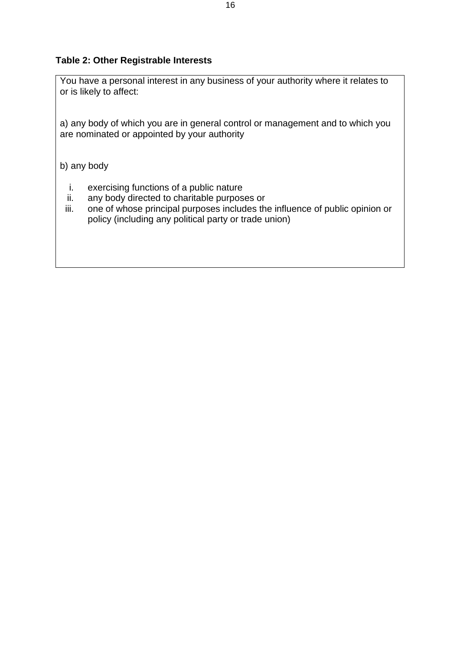#### **Table 2: Other Registrable Interests**

You have a personal interest in any business of your authority where it relates to or is likely to affect:

a) any body of which you are in general control or management and to which you are nominated or appointed by your authority

b) any body

- i. exercising functions of a public nature
- ii. any body directed to charitable purposes or
- iii. one of whose principal purposes includes the influence of public opinion or policy (including any political party or trade union)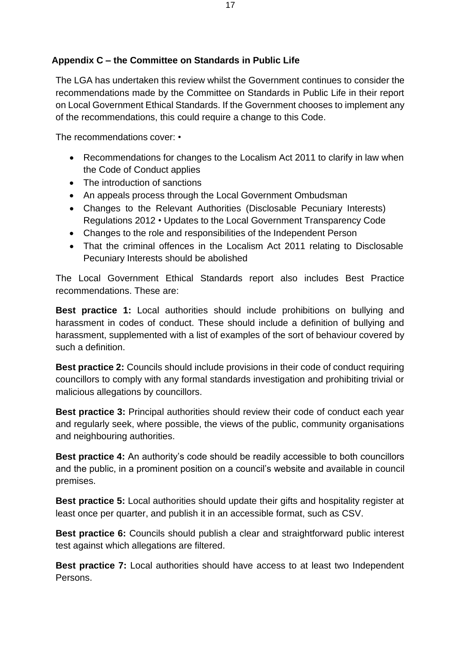### **Appendix C – the Committee on Standards in Public Life**

The LGA has undertaken this review whilst the Government continues to consider the recommendations made by the Committee on Standards in Public Life in their report on Local Government Ethical Standards. If the Government chooses to implement any of the recommendations, this could require a change to this Code.

The recommendations cover: •

- Recommendations for changes to the Localism Act 2011 to clarify in law when the Code of Conduct applies
- The introduction of sanctions
- An appeals process through the Local Government Ombudsman
- Changes to the Relevant Authorities (Disclosable Pecuniary Interests) Regulations 2012 • Updates to the Local Government Transparency Code
- Changes to the role and responsibilities of the Independent Person
- That the criminal offences in the Localism Act 2011 relating to Disclosable Pecuniary Interests should be abolished

The Local Government Ethical Standards report also includes Best Practice recommendations. These are:

**Best practice 1:** Local authorities should include prohibitions on bullying and harassment in codes of conduct. These should include a definition of bullying and harassment, supplemented with a list of examples of the sort of behaviour covered by such a definition.

**Best practice 2:** Councils should include provisions in their code of conduct requiring councillors to comply with any formal standards investigation and prohibiting trivial or malicious allegations by councillors.

**Best practice 3:** Principal authorities should review their code of conduct each year and regularly seek, where possible, the views of the public, community organisations and neighbouring authorities.

**Best practice 4:** An authority's code should be readily accessible to both councillors and the public, in a prominent position on a council's website and available in council premises.

**Best practice 5:** Local authorities should update their gifts and hospitality register at least once per quarter, and publish it in an accessible format, such as CSV.

**Best practice 6:** Councils should publish a clear and straightforward public interest test against which allegations are filtered.

**Best practice 7:** Local authorities should have access to at least two Independent Persons.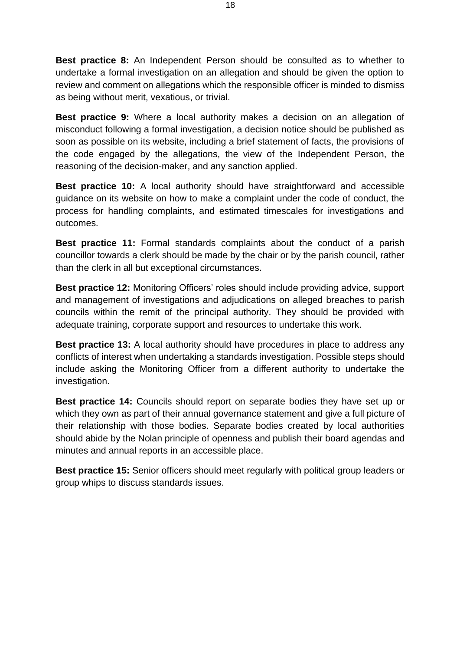**Best practice 8:** An Independent Person should be consulted as to whether to undertake a formal investigation on an allegation and should be given the option to review and comment on allegations which the responsible officer is minded to dismiss as being without merit, vexatious, or trivial.

**Best practice 9:** Where a local authority makes a decision on an allegation of misconduct following a formal investigation, a decision notice should be published as soon as possible on its website, including a brief statement of facts, the provisions of the code engaged by the allegations, the view of the Independent Person, the reasoning of the decision-maker, and any sanction applied.

**Best practice 10:** A local authority should have straightforward and accessible guidance on its website on how to make a complaint under the code of conduct, the process for handling complaints, and estimated timescales for investigations and outcomes.

**Best practice 11:** Formal standards complaints about the conduct of a parish councillor towards a clerk should be made by the chair or by the parish council, rather than the clerk in all but exceptional circumstances.

**Best practice 12:** Monitoring Officers' roles should include providing advice, support and management of investigations and adjudications on alleged breaches to parish councils within the remit of the principal authority. They should be provided with adequate training, corporate support and resources to undertake this work.

**Best practice 13:** A local authority should have procedures in place to address any conflicts of interest when undertaking a standards investigation. Possible steps should include asking the Monitoring Officer from a different authority to undertake the investigation.

**Best practice 14:** Councils should report on separate bodies they have set up or which they own as part of their annual governance statement and give a full picture of their relationship with those bodies. Separate bodies created by local authorities should abide by the Nolan principle of openness and publish their board agendas and minutes and annual reports in an accessible place.

**Best practice 15:** Senior officers should meet regularly with political group leaders or group whips to discuss standards issues.